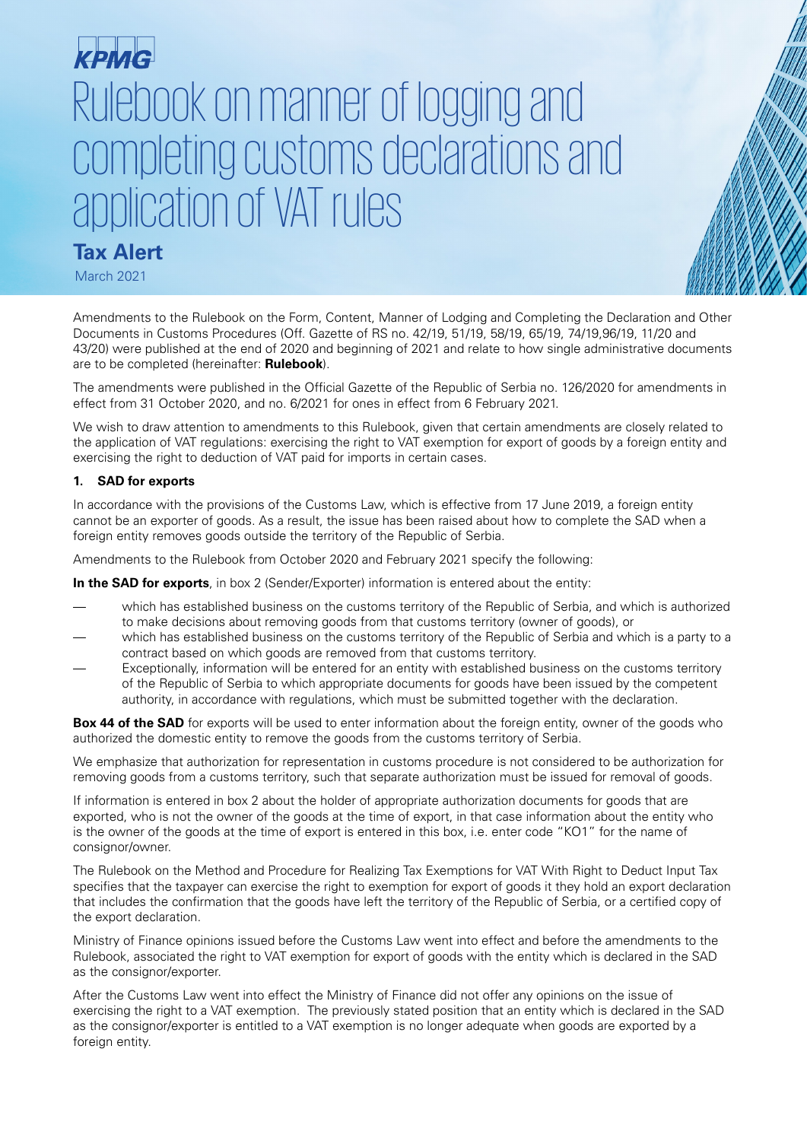# Rulebook on manner of logging and completing customs declarations and application of VAT rules

# **Tax Alert**

March 2021

Amendments to the Rulebook on the Form, Content, Manner of Lodging and Completing the Declaration and Other Documents in Customs Procedures (Off. Gazette of RS no. 42/19, 51/19, 58/19, 65/19, 74/19,96/19, 11/20 and 43/20) were published at the end of 2020 and beginning of 2021 and relate to how single administrative documents are to be completed (hereinafter: **Rulebook**).

The amendments were published in the Official Gazette of the Republic of Serbia no. 126/2020 for amendments in effect from 31 October 2020, and no. 6/2021 for ones in effect from 6 February 2021.

We wish to draw attention to amendments to this Rulebook, given that certain amendments are closely related to the application of VAT regulations: exercising the right to VAT exemption for export of goods by a foreign entity and exercising the right to deduction of VAT paid for imports in certain cases.

# **1. SAD for exports**

In accordance with the provisions of the Customs Law, which is effective from 17 June 2019, a foreign entity cannot be an exporter of goods. As a result, the issue has been raised about how to complete the SAD when a foreign entity removes goods outside the territory of the Republic of Serbia.

Amendments to the Rulebook from October 2020 and February 2021 specify the following:

**In the SAD for exports**, in box 2 (Sender/Exporter) information is entered about the entity:

- which has established business on the customs territory of the Republic of Serbia, and which is authorized to make decisions about removing goods from that customs territory (owner of goods), or
- which has established business on the customs territory of the Republic of Serbia and which is a party to a contract based on which goods are removed from that customs territory.
- Exceptionally, information will be entered for an entity with established business on the customs territory of the Republic of Serbia to which appropriate documents for goods have been issued by the competent authority, in accordance with regulations, which must be submitted together with the declaration.

**Box 44 of the SAD** for exports will be used to enter information about the foreign entity, owner of the goods who authorized the domestic entity to remove the goods from the customs territory of Serbia.

We emphasize that authorization for representation in customs procedure is not considered to be authorization for removing goods from a customs territory, such that separate authorization must be issued for removal of goods.

If information is entered in box 2 about the holder of appropriate authorization documents for goods that are exported, who is not the owner of the goods at the time of export, in that case information about the entity who is the owner of the goods at the time of export is entered in this box, i.e. enter code "KO1" for the name of consignor/owner.

The Rulebook on the Method and Procedure for Realizing Tax Exemptions for VAT With Right to Deduct Input Tax specifies that the taxpayer can exercise the right to exemption for export of goods it they hold an export declaration that includes the confirmation that the goods have left the territory of the Republic of Serbia, or a certified copy of the export declaration.

Ministry of Finance opinions issued before the Customs Law went into effect and before the amendments to the Rulebook, associated the right to VAT exemption for export of goods with the entity which is declared in the SAD as the consignor/exporter.

After the Customs Law went into effect the Ministry of Finance did not offer any opinions on the issue of exercising the right to a VAT exemption. The previously stated position that an entity which is declared in the SAD as the consignor/exporter is entitled to a VAT exemption is no longer adequate when goods are exported by a foreign entity.